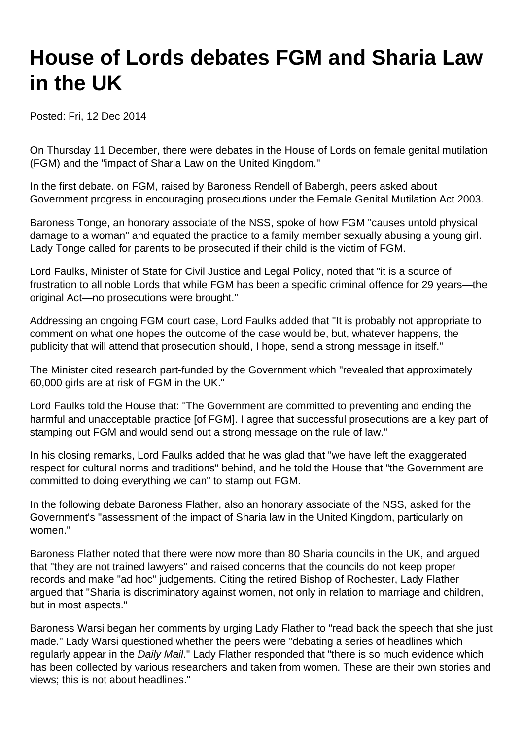## **House of Lords debates FGM and Sharia Law in the UK**

Posted: Fri, 12 Dec 2014

On Thursday 11 December, there were debates in the House of Lords on female genital mutilation (FGM) and the "impact of Sharia Law on the United Kingdom."

In the first debate. on FGM, raised by Baroness Rendell of Babergh, peers asked about Government progress in encouraging prosecutions under the Female Genital Mutilation Act 2003.

Baroness Tonge, an honorary associate of the NSS, spoke of how FGM "causes untold physical damage to a woman" and equated the practice to a family member sexually abusing a young girl. Lady Tonge called for parents to be prosecuted if their child is the victim of FGM.

Lord Faulks, Minister of State for Civil Justice and Legal Policy, noted that "it is a source of frustration to all noble Lords that while FGM has been a specific criminal offence for 29 years—the original Act—no prosecutions were brought."

Addressing an ongoing FGM court case, Lord Faulks added that "It is probably not appropriate to comment on what one hopes the outcome of the case would be, but, whatever happens, the publicity that will attend that prosecution should, I hope, send a strong message in itself."

The Minister cited research part-funded by the Government which "revealed that approximately 60,000 girls are at risk of FGM in the UK."

Lord Faulks told the House that: "The Government are committed to preventing and ending the harmful and unacceptable practice [of FGM]. I agree that successful prosecutions are a key part of stamping out FGM and would send out a strong message on the rule of law."

In his closing remarks, Lord Faulks added that he was glad that "we have left the exaggerated respect for cultural norms and traditions" behind, and he told the House that "the Government are committed to doing everything we can" to stamp out FGM.

In the following debate Baroness Flather, also an honorary associate of the NSS, asked for the Government's "assessment of the impact of Sharia law in the United Kingdom, particularly on women."

Baroness Flather noted that there were now more than 80 Sharia councils in the UK, and argued that "they are not trained lawyers" and raised concerns that the councils do not keep proper records and make "ad hoc" judgements. Citing the retired Bishop of Rochester, Lady Flather argued that "Sharia is discriminatory against women, not only in relation to marriage and children, but in most aspects."

Baroness Warsi began her comments by urging Lady Flather to "read back the speech that she just made." Lady Warsi questioned whether the peers were "debating a series of headlines which regularly appear in the Daily Mail." Lady Flather responded that "there is so much evidence which has been collected by various researchers and taken from women. These are their own stories and views; this is not about headlines."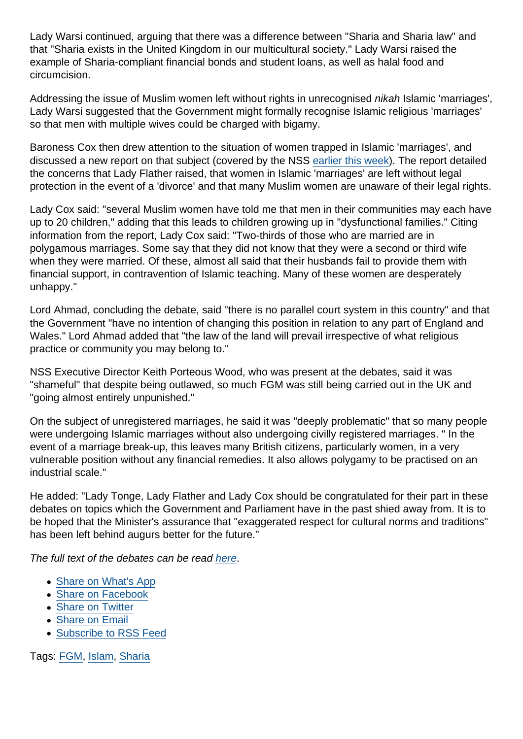Lady Warsi continued, arguing that there was a difference between "Sharia and Sharia law" and that "Sharia exists in the United Kingdom in our multicultural society." Lady Warsi raised the example of Sharia-compliant financial bonds and student loans, as well as halal food and circumcision.

Addressing the issue of Muslim women left without rights in unrecognised nikah Islamic 'marriages', Lady Warsi suggested that the Government might formally recognise Islamic religious 'marriages' so that men with multiple wives could be charged with bigamy.

Baroness Cox then drew attention to the situation of women trapped in Islamic 'marriages', and discussed a new report on that subject (covered by the NSS [earlier this week\)](https://www.secularism.org.uk/news/2014/12/new-report-on-uk-sharia-marriages-exposes-tip-of-the-iceberg). The report detailed the concerns that Lady Flather raised, that women in Islamic 'marriages' are left without legal protection in the event of a 'divorce' and that many Muslim women are unaware of their legal rights.

Lady Cox said: "several Muslim women have told me that men in their communities may each have up to 20 children," adding that this leads to children growing up in "dysfunctional families." Citing information from the report, Lady Cox said: "Two-thirds of those who are married are in polygamous marriages. Some say that they did not know that they were a second or third wife when they were married. Of these, almost all said that their husbands fail to provide them with financial support, in contravention of Islamic teaching. Many of these women are desperately unhappy."

Lord Ahmad, concluding the debate, said "there is no parallel court system in this country" and that the Government "have no intention of changing this position in relation to any part of England and Wales." Lord Ahmad added that "the law of the land will prevail irrespective of what religious practice or community you may belong to."

NSS Executive Director Keith Porteous Wood, who was present at the debates, said it was "shameful" that despite being outlawed, so much FGM was still being carried out in the UK and "going almost entirely unpunished."

On the subject of unregistered marriages, he said it was "deeply problematic" that so many people were undergoing Islamic marriages without also undergoing civilly registered marriages. " In the event of a marriage break-up, this leaves many British citizens, particularly women, in a very vulnerable position without any financial remedies. It also allows polygamy to be practised on an industrial scale."

He added: "Lady Tonge, Lady Flather and Lady Cox should be congratulated for their part in these debates on topics which the Government and Parliament have in the past shied away from. It is to be hoped that the Minister's assurance that "exaggerated respect for cultural norms and traditions" has been left behind augurs better for the future."

The full text of the debates can be read [here](http://www.publications.parliament.uk/pa/ld201415/ldhansrd/text/141211-gc0001.htm#14121139000326).

- [Share on What's App](whatsapp://send?text=http://www.secularism.org.uk/news/2014/12/house-of-lords-debates-fgm-and-sharia-law-in-the-uk?format=pdf)
- [Share on Facebook](https://www.facebook.com/sharer/sharer.php?u=http://www.secularism.org.uk/news/2014/12/house-of-lords-debates-fgm-and-sharia-law-in-the-uk?format=pdf&t=House+of+Lords+debates+FGM+and+Sharia+Law+in+the+UK)
- [Share on Twitter](https://twitter.com/intent/tweet?url=http://www.secularism.org.uk/news/2014/12/house-of-lords-debates-fgm-and-sharia-law-in-the-uk?format=pdf&text=House+of+Lords+debates+FGM+and+Sharia+Law+in+the+UK&via=NatSecSoc)
- [Share on Email](https://www.secularism.org.uk/share.html?url=http://www.secularism.org.uk/news/2014/12/house-of-lords-debates-fgm-and-sharia-law-in-the-uk?format=pdf&title=House+of+Lords+debates+FGM+and+Sharia+Law+in+the+UK)
- [Subscribe to RSS Feed](/mnt/web-data/www/cp-nss/feeds/rss/news)

Tags: [FGM](https://www.secularism.org.uk/news/tags/FGM), [Islam](https://www.secularism.org.uk/news/tags/Islam), [Sharia](https://www.secularism.org.uk/news/tags/Sharia)